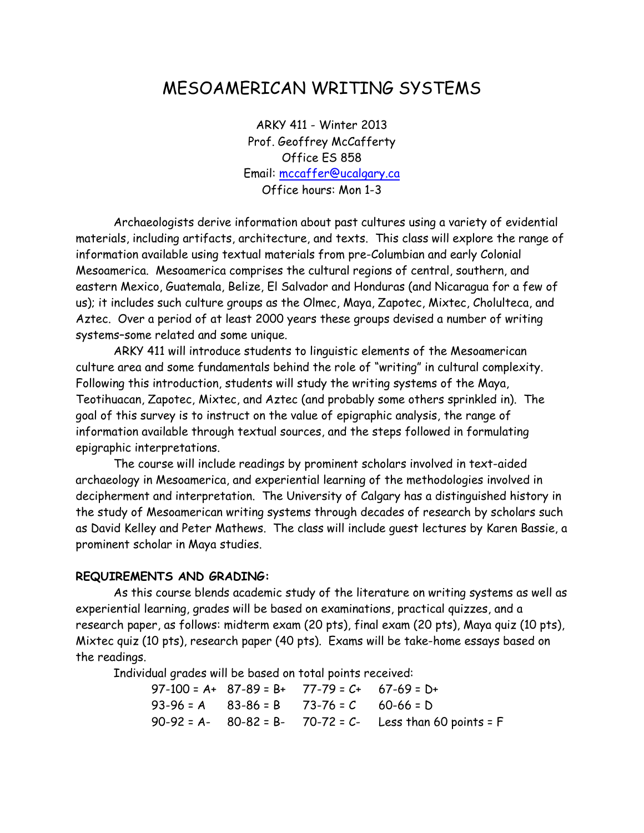# MESOAMERICAN WRITING SYSTEMS

ARKY 411 - Winter 2013 Prof. Geoffrey McCafferty Office ES 858 Email: [mccaffer@ucalgary.ca](mailto:mccaffer@ucalgary.ca) Office hours: Mon 1-3

Archaeologists derive information about past cultures using a variety of evidential materials, including artifacts, architecture, and texts. This class will explore the range of information available using textual materials from pre-Columbian and early Colonial Mesoamerica. Mesoamerica comprises the cultural regions of central, southern, and eastern Mexico, Guatemala, Belize, El Salvador and Honduras (and Nicaragua for a few of us); it includes such culture groups as the Olmec, Maya, Zapotec, Mixtec, Cholulteca, and Aztec. Over a period of at least 2000 years these groups devised a number of writing systems–some related and some unique.

ARKY 411 will introduce students to linguistic elements of the Mesoamerican culture area and some fundamentals behind the role of "writing" in cultural complexity. Following this introduction, students will study the writing systems of the Maya, Teotihuacan, Zapotec, Mixtec, and Aztec (and probably some others sprinkled in). The goal of this survey is to instruct on the value of epigraphic analysis, the range of information available through textual sources, and the steps followed in formulating epigraphic interpretations.

The course will include readings by prominent scholars involved in text-aided archaeology in Mesoamerica, and experiential learning of the methodologies involved in decipherment and interpretation. The University of Calgary has a distinguished history in the study of Mesoamerican writing systems through decades of research by scholars such as David Kelley and Peter Mathews. The class will include guest lectures by Karen Bassie, a prominent scholar in Maya studies.

#### **REQUIREMENTS AND GRADING:**

As this course blends academic study of the literature on writing systems as well as experiential learning, grades will be based on examinations, practical quizzes, and a research paper, as follows: midterm exam (20 pts), final exam (20 pts), Maya quiz (10 pts), Mixtec quiz (10 pts), research paper (40 pts). Exams will be take-home essays based on the readings.

Individual grades will be based on total points received:

 $97-100 = A+ 87-89 = B+ 77-79 = C+ 67-69 = D+$  $93-96 = A$   $83-86 = B$   $73-76 = C$   $60-66 = D$ 90-92 = A- 80-82 = B- 70-72 = C- Less than 60 points = F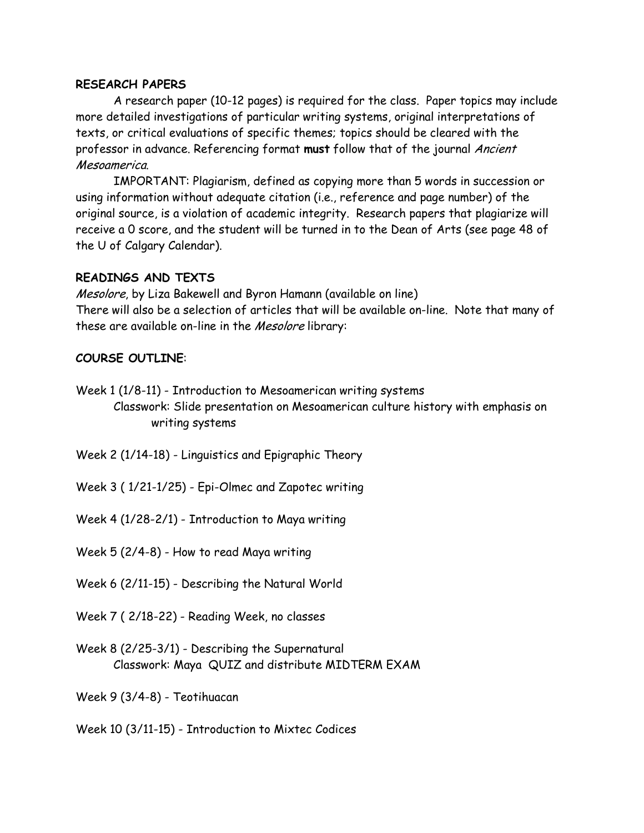#### **RESEARCH PAPERS**

A research paper (10-12 pages) is required for the class. Paper topics may include more detailed investigations of particular writing systems, original interpretations of texts, or critical evaluations of specific themes; topics should be cleared with the professor in advance. Referencing format **must** follow that of the journal Ancient Mesoamerica.

IMPORTANT: Plagiarism, defined as copying more than 5 words in succession or using information without adequate citation (i.e., reference and page number) of the original source, is a violation of academic integrity. Research papers that plagiarize will receive a 0 score, and the student will be turned in to the Dean of Arts (see page 48 of the U of Calgary Calendar).

#### **READINGS AND TEXTS**

Mesolore, by Liza Bakewell and Byron Hamann (available on line) There will also be a selection of articles that will be available on-line. Note that many of these are available on-line in the Mesolore library:

#### **COURSE OUTLINE**:

Week 1 (1/8-11) - Introduction to Mesoamerican writing systems Classwork: Slide presentation on Mesoamerican culture history with emphasis on writing systems

Week 2 (1/14-18) - Linguistics and Epigraphic Theory

Week 3 ( 1/21-1/25) - Epi-Olmec and Zapotec writing

Week 4 (1/28-2/1) - Introduction to Maya writing

Week 5 (2/4-8) - How to read Maya writing

Week 6 (2/11-15) - Describing the Natural World

Week 7 ( 2/18-22) - Reading Week, no classes

Week 8 (2/25-3/1) - Describing the Supernatural Classwork: Maya QUIZ and distribute MIDTERM EXAM

Week 9 (3/4-8) - Teotihuacan

Week 10 (3/11-15) - Introduction to Mixtec Codices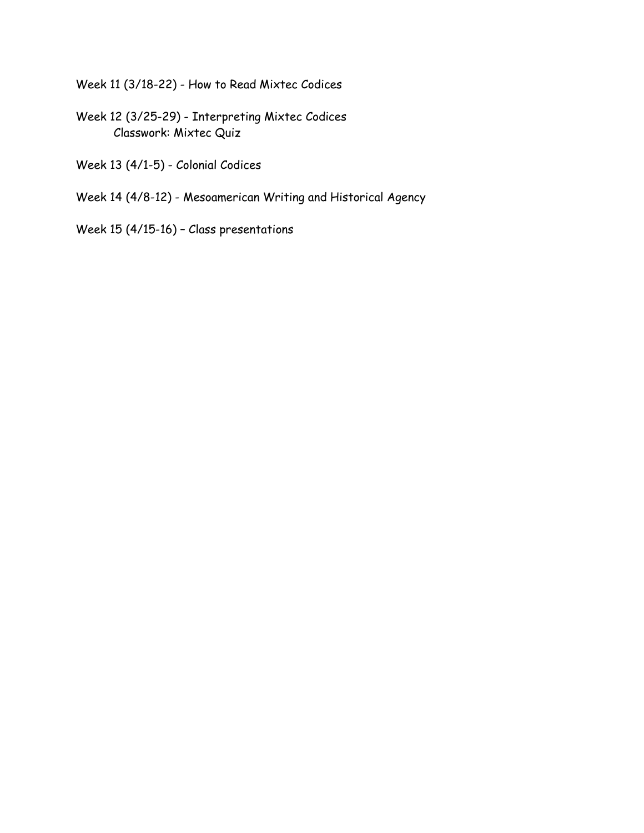Week 11 (3/18-22) - How to Read Mixtec Codices

- Week 12 (3/25-29) Interpreting Mixtec Codices Classwork: Mixtec Quiz
- Week 13 (4/1-5) Colonial Codices
- Week 14 (4/8-12) Mesoamerican Writing and Historical Agency
- Week 15 (4/15-16) Class presentations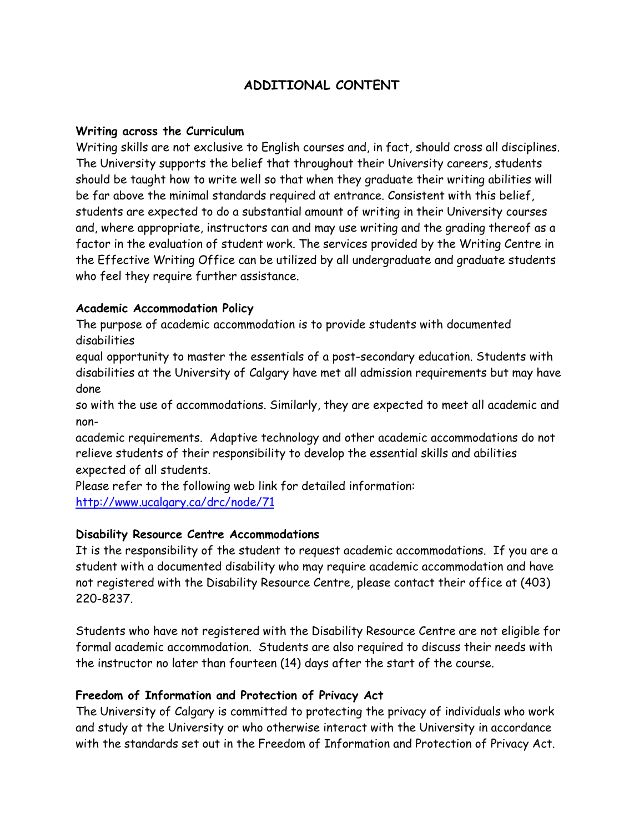# **ADDITIONAL CONTENT**

#### **Writing across the Curriculum**

Writing skills are not exclusive to English courses and, in fact, should cross all disciplines. The University supports the belief that throughout their University careers, students should be taught how to write well so that when they graduate their writing abilities will be far above the minimal standards required at entrance. Consistent with this belief, students are expected to do a substantial amount of writing in their University courses and, where appropriate, instructors can and may use writing and the grading thereof as a factor in the evaluation of student work. The services provided by the Writing Centre in the Effective Writing Office can be utilized by all undergraduate and graduate students who feel they require further assistance.

#### **Academic Accommodation Policy**

The purpose of academic accommodation is to provide students with documented disabilities

equal opportunity to master the essentials of a post-secondary education. Students with disabilities at the University of Calgary have met all admission requirements but may have done

so with the use of accommodations. Similarly, they are expected to meet all academic and non-

academic requirements. Adaptive technology and other academic accommodations do not relieve students of their responsibility to develop the essential skills and abilities expected of all students.

Please refer to the following web link for detailed information: <http://www.ucalgary.ca/drc/node/71>

#### **Disability Resource Centre Accommodations**

It is the responsibility of the student to request academic accommodations. If you are a student with a documented disability who may require academic accommodation and have not registered with the Disability Resource Centre, please contact their office at (403) 220-8237.

Students who have not registered with the Disability Resource Centre are not eligible for formal academic accommodation. Students are also required to discuss their needs with the instructor no later than fourteen (14) days after the start of the course.

#### **Freedom of Information and Protection of Privacy Act**

The University of Calgary is committed to protecting the privacy of individuals who work and study at the University or who otherwise interact with the University in accordance with the standards set out in the Freedom of Information and Protection of Privacy Act.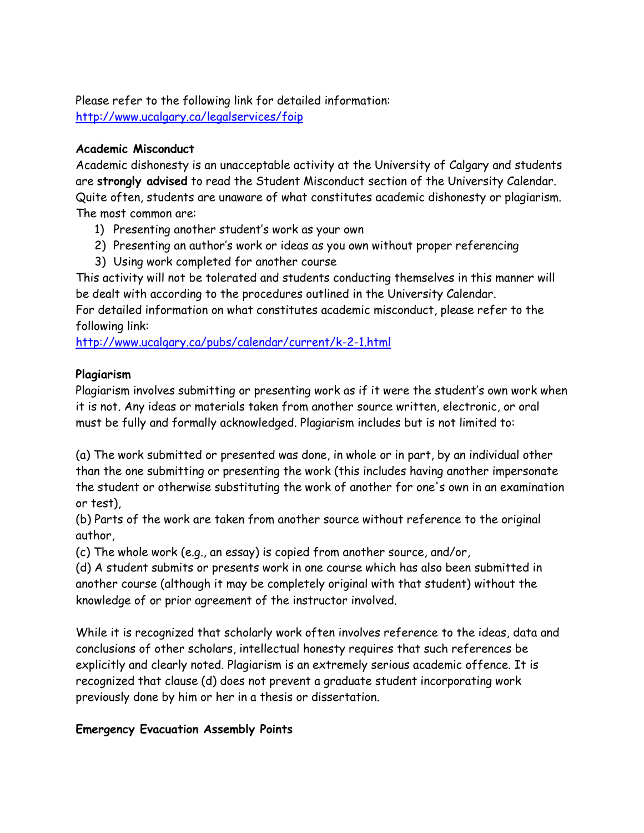Please refer to the following link for detailed information: <http://www.ucalgary.ca/legalservices/foip>

#### **Academic Misconduct**

Academic dishonesty is an unacceptable activity at the University of Calgary and students are **strongly advised** to read the Student Misconduct section of the University Calendar. Quite often, students are unaware of what constitutes academic dishonesty or plagiarism. The most common are:

- 1) Presenting another student's work as your own
- 2) Presenting an author's work or ideas as you own without proper referencing
- 3) Using work completed for another course

This activity will not be tolerated and students conducting themselves in this manner will be dealt with according to the procedures outlined in the University Calendar.

For detailed information on what constitutes academic misconduct, please refer to the following link:

<http://www.ucalgary.ca/pubs/calendar/current/k-2-1.html>

## **Plagiarism**

Plagiarism involves submitting or presenting work as if it were the student's own work when it is not. Any ideas or materials taken from another source written, electronic, or oral must be fully and formally acknowledged. Plagiarism includes but is not limited to:

(a) The work submitted or presented was done, in whole or in part, by an individual other than the one submitting or presenting the work (this includes having another impersonate the student or otherwise substituting the work of another for one's own in an examination or test),

(b) Parts of the work are taken from another source without reference to the original author,

(c) The whole work (e.g., an essay) is copied from another source, and/or,

(d) A student submits or presents work in one course which has also been submitted in another course (although it may be completely original with that student) without the knowledge of or prior agreement of the instructor involved.

While it is recognized that scholarly work often involves reference to the ideas, data and conclusions of other scholars, intellectual honesty requires that such references be explicitly and clearly noted. Plagiarism is an extremely serious academic offence. It is recognized that clause (d) does not prevent a graduate student incorporating work previously done by him or her in a thesis or dissertation.

# **Emergency Evacuation Assembly Points**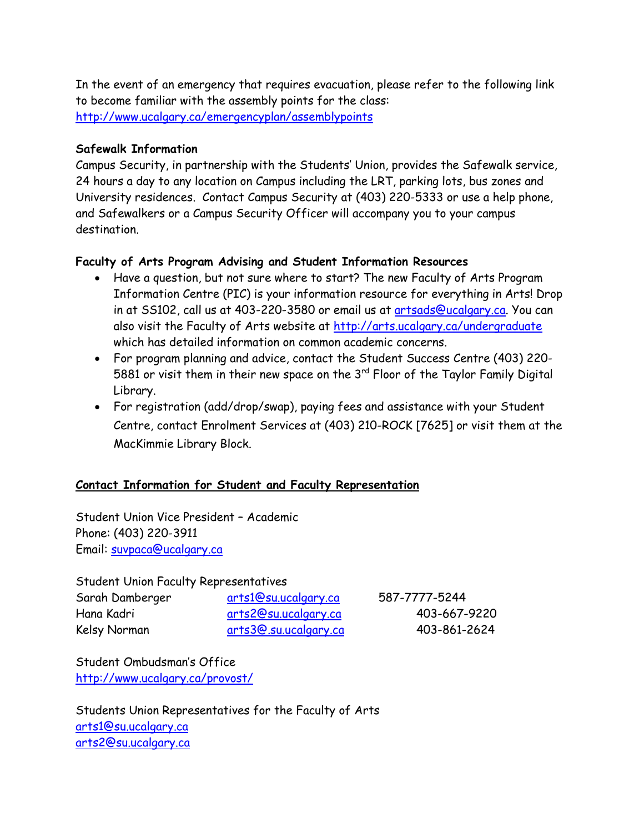In the event of an emergency that requires evacuation, please refer to the following link to become familiar with the assembly points for the class: <http://www.ucalgary.ca/emergencyplan/assemblypoints>

## **Safewalk Information**

Campus Security, in partnership with the Students' Union, provides the Safewalk service, 24 hours a day to any location on Campus including the LRT, parking lots, bus zones and University residences. Contact Campus Security at (403) 220-5333 or use a help phone, and Safewalkers or a Campus Security Officer will accompany you to your campus destination.

# **Faculty of Arts Program Advising and Student Information Resources**

- Have a question, but not sure where to start? The new Faculty of Arts Program Information Centre (PIC) is your information resource for everything in Arts! Drop in at SS102, call us at 403-220-3580 or email us at [artsads@ucalgary.ca.](mailto:artsads@ucalgary.ca) You can also visit the Faculty of Arts website at<http://arts.ucalgary.ca/undergraduate> which has detailed information on common academic concerns.
- For program planning and advice, contact the Student Success Centre (403) 220- 5881 or visit them in their new space on the  $3<sup>rd</sup>$  Floor of the Taylor Family Digital Library.
- For registration (add/drop/swap), paying fees and assistance with your Student Centre, contact Enrolment Services at (403) 210-ROCK [7625] or visit them at the MacKimmie Library Block.

# **Contact Information for Student and Faculty Representation**

Student Union Vice President – Academic Phone: (403) 220-3911 Email: [suvpaca@ucalgary.ca](mailto:suvpaca@ucalgary.ca)

Student Union Faculty Representatives

| Sarah Damberger | <u>arts1@su.ucalgary.ca</u> | 587-7777-5244 |
|-----------------|-----------------------------|---------------|
| Hana Kadri      | arts2@su.ucalgary.ca        | 403-667-9220  |
| Kelsy Norman    | arts3@.su.ucalgary.ca       | 403-861-2624  |

Student Ombudsman's Office <http://www.ucalgary.ca/provost/>

Students Union Representatives for the Faculty of Arts [arts1@su.ucalgary.ca](mailto:arts1@su.ucalgary.ca) [arts2@su.ucalgary.ca](mailto:arts2@su.ucalgary.ca)